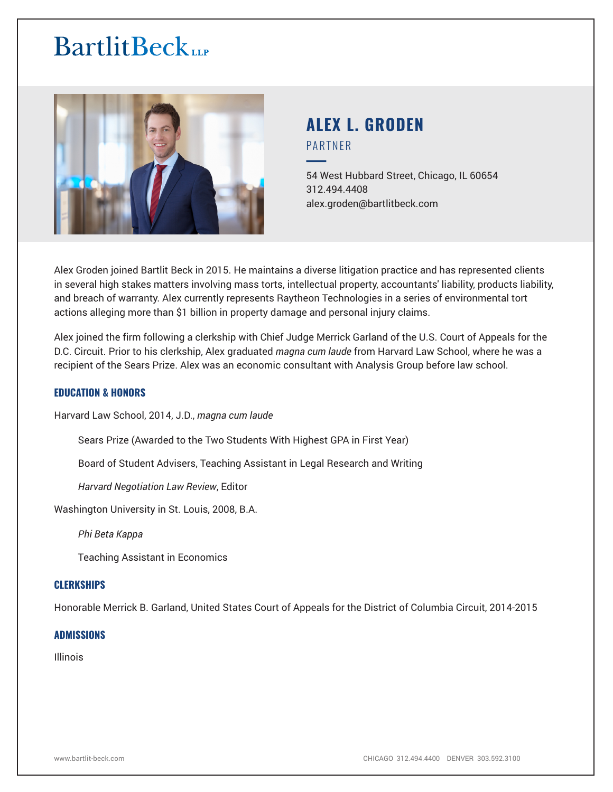# **BartlitBeck**



# **ALEX L. GRODEN** PARTNER

54 West Hubbard Street, Chicago, IL 60654 312.494.4408 alex.groden@bartlitbeck.com

Alex Groden joined Bartlit Beck in 2015. He maintains a diverse litigation practice and has represented clients in several high stakes matters involving mass torts, intellectual property, accountants' liability, products liability, and breach of warranty. Alex currently represents Raytheon Technologies in a series of environmental tort actions alleging more than \$1 billion in property damage and personal injury claims.

Alex joined the firm following a clerkship with Chief Judge Merrick Garland of the U.S. Court of Appeals for the D.C. Circuit. Prior to his clerkship, Alex graduated *magna cum laude* from Harvard Law School, where he was a recipient of the Sears Prize. Alex was an economic consultant with Analysis Group before law school.

# **EDUCATION & HONORS**

Harvard Law School, 2014, J.D., *magna cum laude*

Sears Prize (Awarded to the Two Students With Highest GPA in First Year)

Board of Student Advisers, Teaching Assistant in Legal Research and Writing

*Harvard Negotiation Law Review*, Editor

Washington University in St. Louis, 2008, B.A.

*Phi Beta Kappa*

Teaching Assistant in Economics

### **CLERKSHIPS**

Honorable Merrick B. Garland, United States Court of Appeals for the District of Columbia Circuit, 2014-2015

#### **ADMISSIONS**

Illinois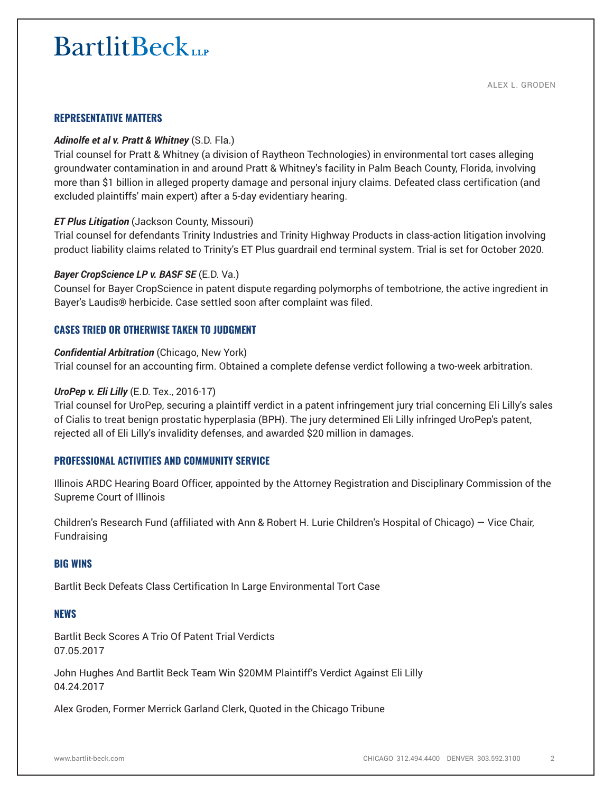# **BartlitBeck**

### **REPRESENTATIVE MATTERS**

#### *Adinolfe et al v. Pratt & Whitney* (S.D. Fla.)

Trial counsel for Pratt & Whitney (a division of Raytheon Technologies) in environmental tort cases alleging groundwater contamination in and around Pratt & Whitney's facility in Palm Beach County, Florida, involving more than \$1 billion in alleged property damage and personal injury claims. Defeated class certification (and excluded plaintiffs' main expert) after a 5-day evidentiary hearing.

#### *ET Plus Litigation* (Jackson County, Missouri)

Trial counsel for defendants Trinity Industries and Trinity Highway Products in class-action litigation involving product liability claims related to Trinity's ET Plus guardrail end terminal system. Trial is set for October 2020.

#### *Bayer CropScience LP v. BASF SE* (E.D. Va.)

Counsel for Bayer CropScience in patent dispute regarding polymorphs of tembotrione, the active ingredient in Bayer's Laudis® herbicide. Case settled soon after complaint was filed.

## **CASES TRIED OR OTHERWISE TAKEN TO JUDGMENT**

#### *Confidential Arbitration* (Chicago, New York)

Trial counsel for an accounting firm. Obtained a complete defense verdict following a two-week arbitration.

#### *UroPep v. Eli Lilly* (E.D. Tex., 2016-17)

Trial counsel for UroPep, securing a plaintiff verdict in a patent infringement jury trial concerning Eli Lilly's sales of Cialis to treat benign prostatic hyperplasia (BPH). The jury determined Eli Lilly infringed UroPep's patent, rejected all of Eli Lilly's invalidity defenses, and awarded \$20 million in damages.

### **PROFESSIONAL ACTIVITIES AND COMMUNITY SERVICE**

Illinois ARDC Hearing Board Officer, appointed by the Attorney Registration and Disciplinary Commission of the Supreme Court of Illinois

Children's Research Fund (affiliated with Ann & Robert H. Lurie Children's Hospital of Chicago) — Vice Chair, Fundraising

#### **BIG WINS**

Bartlit Beck Defeats Class Certification In Large Environmental Tort Case

# **NEWS**

Bartlit Beck Scores A Trio Of Patent Trial Verdicts 07.05.2017

John Hughes And Bartlit Beck Team Win \$20MM Plaintiff's Verdict Against Eli Lilly 04.24.2017

Alex Groden, Former Merrick Garland Clerk, Quoted in the Chicago Tribune